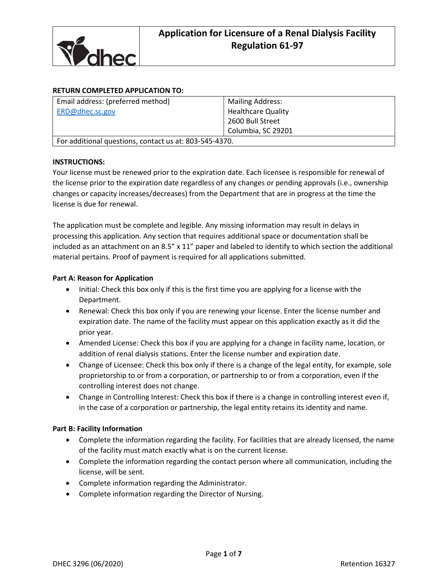

## **RETURN COMPLETED APPLICATION TO:**

| Email address: (preferred method)                      | <b>Mailing Address:</b>   |  |
|--------------------------------------------------------|---------------------------|--|
| ERD@dhec.sc.gov                                        | <b>Healthcare Quality</b> |  |
|                                                        | 2600 Bull Street          |  |
|                                                        | Columbia, SC 29201        |  |
| For additional questions, contact us at: 803-545-4370. |                           |  |

### **INSTRUCTIONS:**

Your license must be renewed prior to the expiration date. Each licensee is responsible for renewal of the license prior to the expiration date regardless of any changes or pending approvals (i.e., ownership changes or capacity increases/decreases) from the Department that are in progress at the time the license is due for renewal.

The application must be complete and legible. Any missing information may result in delays in processing this application. Any section that requires additional space or documentation shall be included as an attachment on an 8.5" x 11" paper and labeled to identify to which section the additional material pertains. Proof of payment is required for all applications submitted.

### **Part A: Reason for Application**

- Initial: Check this box only if this is the first time you are applying for a license with the Department.
- Renewal: Check this box only if you are renewing your license. Enter the license number and expiration date. The name of the facility must appear on this application exactly as it did the prior year.
- Amended License: Check this box if you are applying for a change in facility name, location, or addition of renal dialysis stations. Enter the license number and expiration date.
- Change of Licensee: Check this box only if there is a change of the legal entity, for example, sole proprietorship to or from a corporation, or partnership to or from a corporation, even if the controlling interest does not change.
- Change in Controlling Interest: Check this box if there is a change in controlling interest even if, in the case of a corporation or partnership, the legal entity retains its identity and name.

### **Part B: Facility Information**

- Complete the information regarding the facility. For facilities that are already licensed, the name of the facility must match exactly what is on the current license.
- Complete the information regarding the contact person where all communication, including the license, will be sent.
- Complete information regarding the Administrator.
- Complete information regarding the Director of Nursing.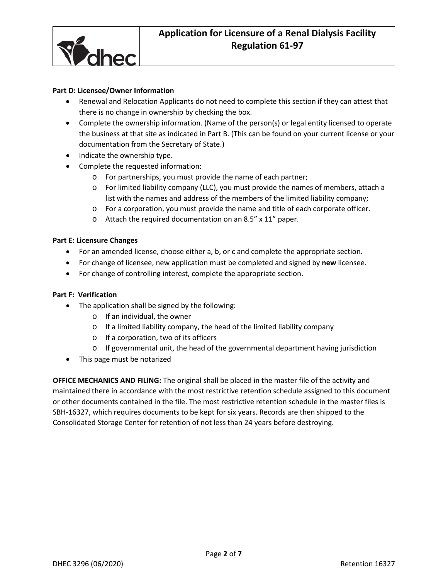

### **Part D: Licensee/Owner Information**

- Renewal and Relocation Applicants do not need to complete this section if they can attest that there is no change in ownership by checking the box.
- Complete the ownership information. (Name of the person(s) or legal entity licensed to operate the business at that site as indicated in Part B. (This can be found on your current license or your documentation from the Secretary of State.)
- Indicate the ownership type.
- Complete the requested information:
	- o For partnerships, you must provide the name of each partner;
	- o For limited liability company (LLC), you must provide the names of members, attach a list with the names and address of the members of the limited liability company;
	- o For a corporation, you must provide the name and title of each corporate officer.
	- o Attach the required documentation on an 8.5" x 11" paper.

#### **Part E: Licensure Changes**

- For an amended license, choose either a, b, or c and complete the appropriate section.
- For change of licensee, new application must be completed and signed by **new** licensee.
- For change of controlling interest, complete the appropriate section.

#### **Part F: Verification**

- The application shall be signed by the following:
	- o If an individual, the owner
	- o If a limited liability company, the head of the limited liability company
	- o If a corporation, two of its officers
	- $\circ$  If governmental unit, the head of the governmental department having jurisdiction
- This page must be notarized

**OFFICE MECHANICS AND FILING:** The original shall be placed in the master file of the activity and maintained there in accordance with the most restrictive retention schedule assigned to this document or other documents contained in the file. The most restrictive retention schedule in the master files is SBH-16327, which requires documents to be kept for six years. Records are then shipped to the Consolidated Storage Center for retention of not less than 24 years before destroying.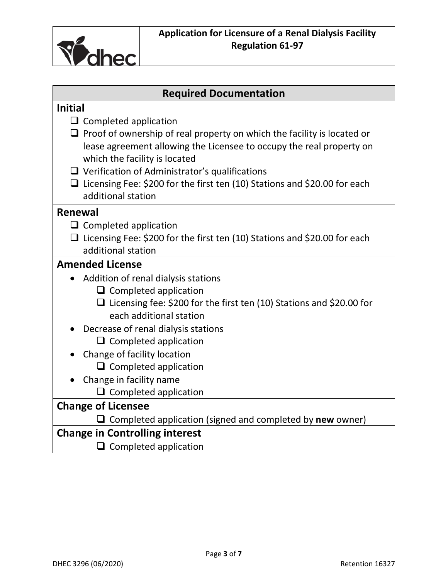

# **Required Documentation**

| <b>Initial</b>                                                                   |  |
|----------------------------------------------------------------------------------|--|
| $\Box$ Completed application                                                     |  |
| $\Box$ Proof of ownership of real property on which the facility is located or   |  |
| lease agreement allowing the Licensee to occupy the real property on             |  |
| which the facility is located                                                    |  |
| $\Box$ Verification of Administrator's qualifications                            |  |
| $\Box$ Licensing Fee: \$200 for the first ten (10) Stations and \$20.00 for each |  |
| additional station                                                               |  |
| Renewal                                                                          |  |
| $\Box$ Completed application                                                     |  |
| $\Box$ Licensing Fee: \$200 for the first ten (10) Stations and \$20.00 for each |  |
| additional station                                                               |  |
| <b>Amended License</b>                                                           |  |
| Addition of renal dialysis stations                                              |  |
| $\Box$ Completed application                                                     |  |
| $\Box$ Licensing fee: \$200 for the first ten (10) Stations and \$20.00 for      |  |
| each additional station                                                          |  |
| Decrease of renal dialysis stations                                              |  |
| $\Box$ Completed application                                                     |  |
| Change of facility location                                                      |  |
| $\Box$ Completed application                                                     |  |
| Change in facility name                                                          |  |
| $\Box$ Completed application                                                     |  |
| <b>Change of Licensee</b>                                                        |  |
| Completed application (signed and completed by new owner)                        |  |
| <b>Change in Controlling interest</b>                                            |  |
| $\Box$ Completed application                                                     |  |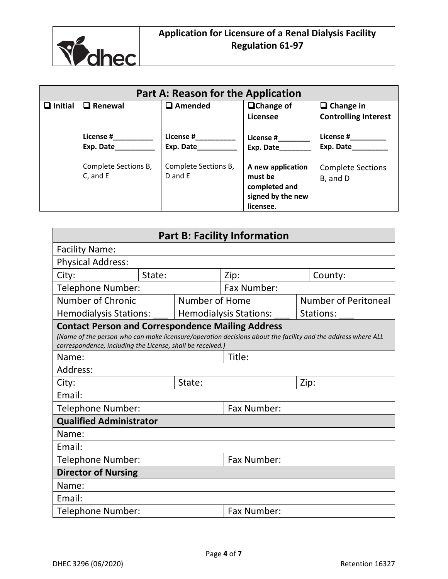

| <b>Part A: Reason for the Application</b> |                                  |                                 |                                                                                 |                                                 |
|-------------------------------------------|----------------------------------|---------------------------------|---------------------------------------------------------------------------------|-------------------------------------------------|
| Initial<br>П                              | $\square$ Renewal                | $\Box$ Amended                  | $\Box$ Change of<br>Licensee                                                    | $\Box$ Change in<br><b>Controlling Interest</b> |
|                                           | License #<br>Exp. Date           | License #<br>Exp. Date          | License #<br>Exp. Date                                                          | License #<br>Exp. Date                          |
|                                           | Complete Sections B,<br>C, and E | Complete Sections B,<br>D and E | A new application<br>must be<br>completed and<br>signed by the new<br>licensee. | <b>Complete Sections</b><br>B, and D            |

| <b>Part B: Facility Information</b>                                                                                    |        |                |                               |                                                                                                             |
|------------------------------------------------------------------------------------------------------------------------|--------|----------------|-------------------------------|-------------------------------------------------------------------------------------------------------------|
| <b>Facility Name:</b>                                                                                                  |        |                |                               |                                                                                                             |
| <b>Physical Address:</b>                                                                                               |        |                |                               |                                                                                                             |
| City:                                                                                                                  | State: |                | Zip:                          | County:                                                                                                     |
| Telephone Number:                                                                                                      |        |                | <b>Fax Number:</b>            |                                                                                                             |
| Number of Chronic                                                                                                      |        | Number of Home |                               | <b>Number of Peritoneal</b>                                                                                 |
| <b>Hemodialysis Stations:</b>                                                                                          |        |                | <b>Hemodialysis Stations:</b> | Stations:                                                                                                   |
| <b>Contact Person and Correspondence Mailing Address</b><br>correspondence, including the License, shall be received.) |        |                |                               | (Name of the person who can make licensure/operation decisions about the facility and the address where ALL |
| Name:                                                                                                                  |        |                | Title:                        |                                                                                                             |
| Address:                                                                                                               |        |                |                               |                                                                                                             |
| City:                                                                                                                  |        | State:         |                               | Zip:                                                                                                        |
| Email:                                                                                                                 |        |                |                               |                                                                                                             |
| Telephone Number:                                                                                                      |        | Fax Number:    |                               |                                                                                                             |
| <b>Qualified Administrator</b>                                                                                         |        |                |                               |                                                                                                             |
| Name:                                                                                                                  |        |                |                               |                                                                                                             |
| Email:                                                                                                                 |        |                |                               |                                                                                                             |
| <b>Telephone Number:</b>                                                                                               |        |                | Fax Number:                   |                                                                                                             |
| <b>Director of Nursing</b>                                                                                             |        |                |                               |                                                                                                             |
| Name:                                                                                                                  |        |                |                               |                                                                                                             |
| Email:                                                                                                                 |        |                |                               |                                                                                                             |
| Telephone Number:                                                                                                      |        |                | Fax Number:                   |                                                                                                             |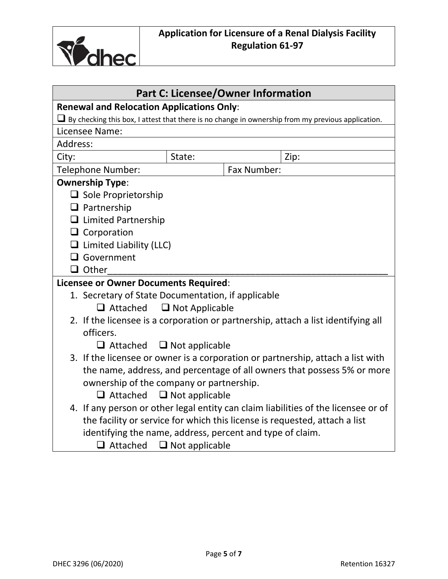

| <b>Part C: Licensee/Owner Information</b>                                                                |                       |             |                                                                                    |  |
|----------------------------------------------------------------------------------------------------------|-----------------------|-------------|------------------------------------------------------------------------------------|--|
| <b>Renewal and Relocation Applications Only:</b>                                                         |                       |             |                                                                                    |  |
| $\Box$ By checking this box, I attest that there is no change in ownership from my previous application. |                       |             |                                                                                    |  |
| Licensee Name:                                                                                           |                       |             |                                                                                    |  |
| Address:                                                                                                 |                       |             |                                                                                    |  |
| City:                                                                                                    | State:                |             | Zip:                                                                               |  |
| Telephone Number:                                                                                        |                       | Fax Number: |                                                                                    |  |
| <b>Ownership Type:</b>                                                                                   |                       |             |                                                                                    |  |
| $\Box$ Sole Proprietorship                                                                               |                       |             |                                                                                    |  |
| $\Box$ Partnership                                                                                       |                       |             |                                                                                    |  |
| $\Box$ Limited Partnership                                                                               |                       |             |                                                                                    |  |
| $\Box$ Corporation                                                                                       |                       |             |                                                                                    |  |
| $\Box$ Limited Liability (LLC)                                                                           |                       |             |                                                                                    |  |
| $\Box$ Government                                                                                        |                       |             |                                                                                    |  |
| $\Box$ Other                                                                                             |                       |             |                                                                                    |  |
| <b>Licensee or Owner Documents Required:</b>                                                             |                       |             |                                                                                    |  |
| 1. Secretary of State Documentation, if applicable                                                       |                       |             |                                                                                    |  |
| $\Box$ Attached $\Box$ Not Applicable                                                                    |                       |             |                                                                                    |  |
| 2. If the licensee is a corporation or partnership, attach a list identifying all                        |                       |             |                                                                                    |  |
| officers.                                                                                                |                       |             |                                                                                    |  |
| $\Box$ Attached                                                                                          | $\Box$ Not applicable |             |                                                                                    |  |
| 3. If the licensee or owner is a corporation or partnership, attach a list with                          |                       |             |                                                                                    |  |
| the name, address, and percentage of all owners that possess 5% or more                                  |                       |             |                                                                                    |  |
| ownership of the company or partnership.                                                                 |                       |             |                                                                                    |  |
| $\Box$ Attached                                                                                          | $\Box$ Not applicable |             |                                                                                    |  |
|                                                                                                          |                       |             | 4. If any person or other legal entity can claim liabilities of the licensee or of |  |
| the facility or service for which this license is requested, attach a list                               |                       |             |                                                                                    |  |
| identifying the name, address, percent and type of claim.                                                |                       |             |                                                                                    |  |
| $\Box$ Attached                                                                                          | $\Box$ Not applicable |             |                                                                                    |  |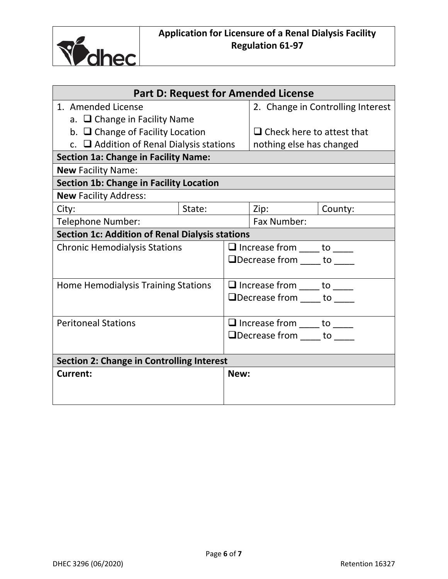

| <b>Part D: Request for Amended License</b>             |        |                                       |                                                                   |         |
|--------------------------------------------------------|--------|---------------------------------------|-------------------------------------------------------------------|---------|
| 1. Amended License                                     |        | 2. Change in Controlling Interest     |                                                                   |         |
| a. □ Change in Facility Name                           |        |                                       |                                                                   |         |
| b. $\Box$ Change of Facility Location                  |        |                                       | $\Box$ Check here to attest that                                  |         |
| c. $\Box$ Addition of Renal Dialysis stations          |        |                                       | nothing else has changed                                          |         |
| <b>Section 1a: Change in Facility Name:</b>            |        |                                       |                                                                   |         |
| <b>New Facility Name:</b>                              |        |                                       |                                                                   |         |
| <b>Section 1b: Change in Facility Location</b>         |        |                                       |                                                                   |         |
| <b>New Facility Address:</b>                           |        |                                       |                                                                   |         |
| City:                                                  | State: |                                       | Zip:                                                              | County: |
| <b>Telephone Number:</b>                               |        |                                       | Fax Number:                                                       |         |
| <b>Section 1c: Addition of Renal Dialysis stations</b> |        |                                       |                                                                   |         |
| <b>Chronic Hemodialysis Stations</b>                   |        |                                       | $\Box$ Increase from _____ to _____                               |         |
|                                                        |        |                                       | $\Box$ Decrease from $\Box$ to $\Box$                             |         |
|                                                        |        |                                       |                                                                   |         |
| <b>Home Hemodialysis Training Stations</b>             |        | $\Box$ Increase from _____ to _____   |                                                                   |         |
|                                                        |        | $\Box$ Decrease from $\Box$ to $\Box$ |                                                                   |         |
|                                                        |        |                                       |                                                                   |         |
| <b>Peritoneal Stations</b>                             |        |                                       | $\Box$ Increase from _____ to _____                               |         |
|                                                        |        |                                       | $\Box$ Decrease from $\rule{1em}{0.15mm}$ to $\rule{1em}{0.15mm}$ |         |
|                                                        |        |                                       |                                                                   |         |
| <b>Section 2: Change in Controlling Interest</b>       |        |                                       |                                                                   |         |
| Current:                                               |        | New:                                  |                                                                   |         |
|                                                        |        |                                       |                                                                   |         |
|                                                        |        |                                       |                                                                   |         |